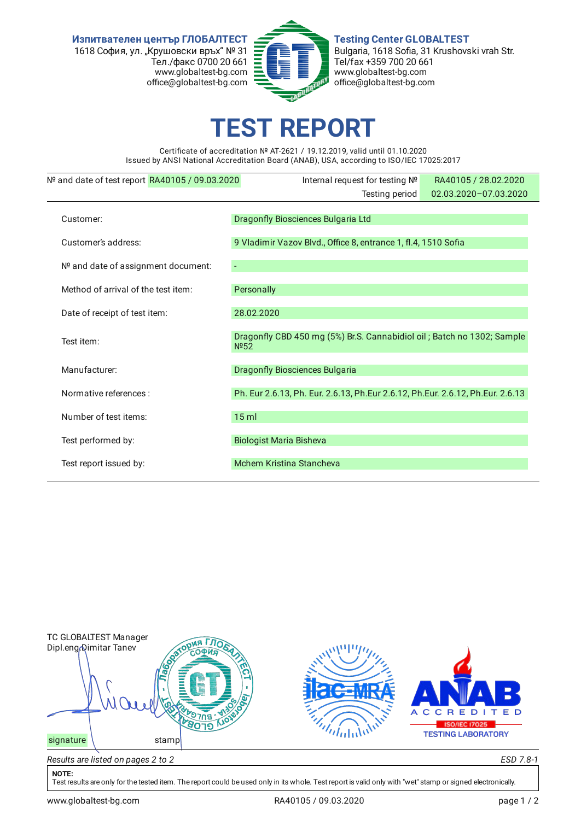**Изпитвателен център ГЛОБАЛТЕСТ** 1618 София, ул. "Крушовски връх" № 31 Тел./факс 0700 20 661 www.globaltest-bg.com office@globaltest-bg.com



**Testing Center GLOBALTEST** Bulgaria, 1618 Sofia, 31 Krushovski vrah Str. Tel/fax +359 700 20 661 www.globaltest-bg.com office@globaltest-bg.com

## **EST REPO**

Certificate of accreditation № AT-2621 / 19.12.2019, valid until 01.10.2020 Issued by ANSI National Accreditation Board (ANAB), USA, according to ISO/IEC 17025:2017

| Nº and date of test report RA40105 / 09.03.2020 | Internal request for testing Nº                                                             | RA40105 / 28.02.2020  |  |  |  |
|-------------------------------------------------|---------------------------------------------------------------------------------------------|-----------------------|--|--|--|
|                                                 | Testing period                                                                              | 02.03.2020-07.03.2020 |  |  |  |
| Customer:                                       | Dragonfly Biosciences Bulgaria Ltd                                                          |                       |  |  |  |
| Customer's address:                             | 9 Vladimir Vazov Blvd., Office 8, entrance 1, fl.4, 1510 Sofia                              |                       |  |  |  |
| Nº and date of assignment document:             |                                                                                             |                       |  |  |  |
| Method of arrival of the test item:             | Personally                                                                                  |                       |  |  |  |
| Date of receipt of test item:                   | 28.02.2020                                                                                  |                       |  |  |  |
| Test item:                                      | Dragonfly CBD 450 mg (5%) Br.S. Cannabidiol oil; Batch no 1302; Sample<br>N <sup>0</sup> 52 |                       |  |  |  |
| Manufacturer:                                   | Dragonfly Biosciences Bulgaria                                                              |                       |  |  |  |
| Normative references :                          | Ph. Eur 2.6.13, Ph. Eur. 2.6.13, Ph. Eur 2.6.12, Ph. Eur. 2.6.12, Ph. Eur. 2.6.13           |                       |  |  |  |
| Number of test items:                           | $15$ ml                                                                                     |                       |  |  |  |
| Test performed by:                              | <b>Biologist Maria Bisheva</b>                                                              |                       |  |  |  |
| Test report issued by:                          | Mchem Kristina Stancheva                                                                    |                       |  |  |  |



## **NOTE:**

Test results are only for the tested item. The report could be used only in its whole. Test report is valid only with "wet" stamp or signed electronically.